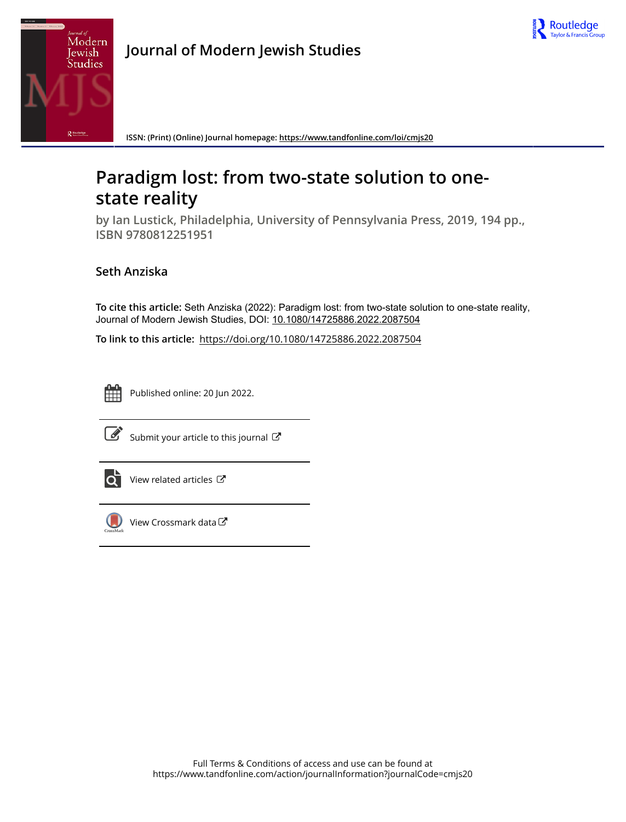



**Journal of Modern Jewish Studies**

**ISSN: (Print) (Online) Journal homepage:<https://www.tandfonline.com/loi/cmjs20>**

## **Paradigm lost: from two-state solution to onestate reality**

**by Ian Lustick, Philadelphia, University of Pennsylvania Press, 2019, 194 pp., ISBN 9780812251951**

## **Seth Anziska**

**To cite this article:** Seth Anziska (2022): Paradigm lost: from two-state solution to one-state reality, Journal of Modern Jewish Studies, DOI: [10.1080/14725886.2022.2087504](https://www.tandfonline.com/action/showCitFormats?doi=10.1080/14725886.2022.2087504)

**To link to this article:** <https://doi.org/10.1080/14725886.2022.2087504>



Published online: 20 Jun 2022.



 $\overline{\mathscr{L}}$  [Submit your article to this journal](https://www.tandfonline.com/action/authorSubmission?journalCode=cmjs20&show=instructions)  $\mathbb{Z}$ 



 $\overrightarrow{Q}$  [View related articles](https://www.tandfonline.com/doi/mlt/10.1080/14725886.2022.2087504)  $\overrightarrow{C}$ 



[View Crossmark data](http://crossmark.crossref.org/dialog/?doi=10.1080/14725886.2022.2087504&domain=pdf&date_stamp=2022-06-20)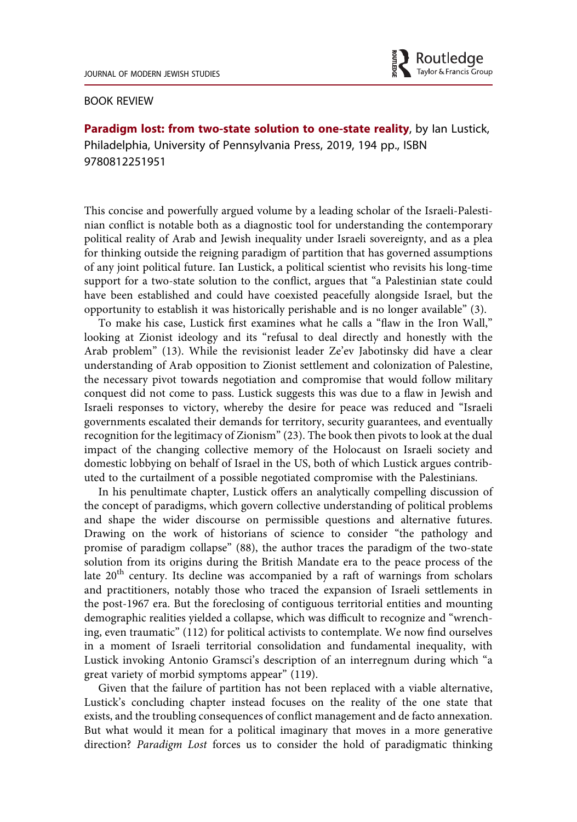

## BOOK REVIEW

Paradigm lost: from two-state solution to one-state reality, by lan Lustick, Philadelphia, University of Pennsylvania Press, 2019, 194 pp., ISBN 9780812251951

This concise and powerfully argued volume by a leading scholar of the Israeli-Palestinian conflict is notable both as a diagnostic tool for understanding the contemporary political reality of Arab and Jewish inequality under Israeli sovereignty, and as a plea for thinking outside the reigning paradigm of partition that has governed assumptions of any joint political future. Ian Lustick, a political scientist who revisits his long-time support for a two-state solution to the conflict, argues that "a Palestinian state could have been established and could have coexisted peacefully alongside Israel, but the opportunity to establish it was historically perishable and is no longer available" (3).

To make his case, Lustick first examines what he calls a "flaw in the Iron Wall," looking at Zionist ideology and its "refusal to deal directly and honestly with the Arab problem" (13). While the revisionist leader Ze'ev Jabotinsky did have a clear understanding of Arab opposition to Zionist settlement and colonization of Palestine, the necessary pivot towards negotiation and compromise that would follow military conquest did not come to pass. Lustick suggests this was due to a flaw in Jewish and Israeli responses to victory, whereby the desire for peace was reduced and "Israeli governments escalated their demands for territory, security guarantees, and eventually recognition for the legitimacy of Zionism" (23). The book then pivots to look at the dual impact of the changing collective memory of the Holocaust on Israeli society and domestic lobbying on behalf of Israel in the US, both of which Lustick argues contributed to the curtailment of a possible negotiated compromise with the Palestinians.

In his penultimate chapter, Lustick offers an analytically compelling discussion of the concept of paradigms, which govern collective understanding of political problems and shape the wider discourse on permissible questions and alternative futures. Drawing on the work of historians of science to consider "the pathology and promise of paradigm collapse" (88), the author traces the paradigm of the two-state solution from its origins during the British Mandate era to the peace process of the late 20<sup>th</sup> century. Its decline was accompanied by a raft of warnings from scholars and practitioners, notably those who traced the expansion of Israeli settlements in the post-1967 era. But the foreclosing of contiguous territorial entities and mounting demographic realities yielded a collapse, which was difficult to recognize and "wrenching, even traumatic" (112) for political activists to contemplate. We now find ourselves in a moment of Israeli territorial consolidation and fundamental inequality, with Lustick invoking Antonio Gramsci's description of an interregnum during which "a great variety of morbid symptoms appear" (119).

Given that the failure of partition has not been replaced with a viable alternative, Lustick's concluding chapter instead focuses on the reality of the one state that exists, and the troubling consequences of conflict management and de facto annexation. But what would it mean for a political imaginary that moves in a more generative direction? Paradigm Lost forces us to consider the hold of paradigmatic thinking